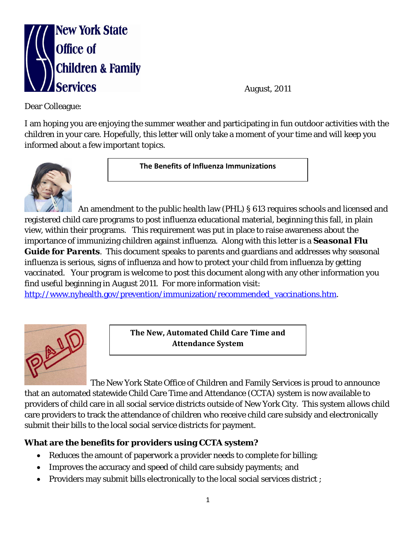

August, 2011

Dear Colleague:

I am hoping you are enjoying the summer weather and participating in fun outdoor activities with the children in your care. Hopefully, this letter will only take a moment of your time and will keep you informed about a few important topics.



**The Benefits of Influenza Immunizations**

 An amendment to the public health law (PHL) § 613 requires schools and licensed and registered child care programs to post influenza educational material, beginning this fall, in plain view, within their programs. This requirement was put in place to raise awareness about the importance of immunizing children against influenza. Along with this letter is a *Seasonal Flu Guide for Parents*. This document speaks to parents and guardians and addresses why seasonal influenza is serious, signs of influenza and how to protect your child from influenza by getting vaccinated. Your program is welcome to post this document along with any other information you find useful beginning in August 2011. For more information visit:

[http://www.nyhealth.gov/prevention/immunization/recommended\\_vaccinations.htm.](http://www.nyhealth.gov/prevention/immunization/recommended_vaccinations.htm)



**The New, Automated Child Care Time and Attendance System**

 The New York State Office of Children and Family Services is proud to announce that an automated statewide Child Care Time and Attendance (CCTA) system is now available to providers of child care in all social service districts outside of New York City. This system allows child care providers to track the attendance of children who receive child care subsidy and electronically submit their bills to the local social service districts for payment.

## **What are the benefits for providers using CCTA system?**

- Reduces the amount of paperwork a provider needs to complete for billing;
- Improves the accuracy and speed of child care subsidy payments; and
- Providers may submit bills electronically to the local social services district ;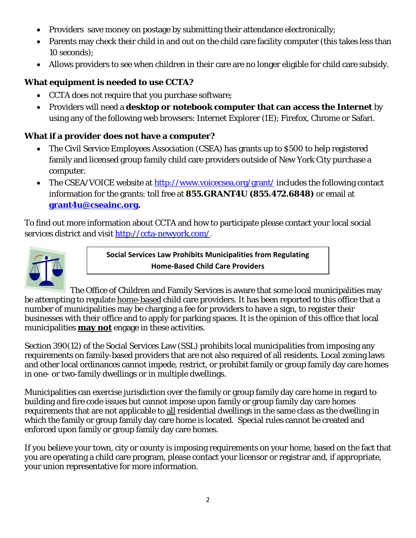- Providers save money on postage by submitting their attendance electronically;
- Parents may check their child in and out on the child care facility computer (this takes less than 10 seconds);
- Allows providers to see when children in their care are no longer eligible for child care subsidy.

## **What equipment is needed to use CCTA?**

- CCTA does not require that you purchase software;
- Providers will need a **desktop or notebook computer that can access the Internet** by using any of the following web browsers: Internet Explorer (IE); Firefox, Chrome or Safari.

## **What if a provider does not have a computer?**

- The Civil Service Employees Association (CSEA) has grants up to \$500 to help registered family and licensed group family child care providers outside of New York City purchase a computer.
- The CSEA/VOICE website at<http://www.voicecsea.org/grant/> includes the following contact information for the grants: toll free at **855.GRANT4U (855.472.6848)** or email at **[grant4u@cseainc.org.](mailto:grant4u@cseainc.org)**

To find out more information about CCTA and how to participate please contact your local social services district and visit [http://ccta-newyork.com/.](http://ccta-newyork.com/)



**Social Services Law Prohibits Municipalities from Regulating Home-Based Child Care Providers**

The Office of Children and Family Services is aware that some local municipalities may be attempting to regulate home-based child care providers. It has been reported to this office that a number of municipalities may be charging a fee for providers to have a sign, to register their businesses with their office and to apply for parking spaces. It is the opinion of this office that local municipalities **may not** engage in these activities.

Section 390(12) of the Social Services Law (SSL) prohibits local municipalities from imposing any requirements on family-based providers that are not also required of all residents. Local zoning laws and other local ordinances cannot impede, restrict, or prohibit family or group family day care homes in one- or two-family dwellings or in multiple dwellings.

Municipalities can exercise jurisdiction over the family or group family day care home in regard to building and fire code issues but cannot impose upon family or group family day care homes requirements that are not applicable to all residential dwellings in the same class as the dwelling in which the family or group family day care home is located. Special rules cannot be created and enforced upon family or group family day care homes.

If you believe your town, city or county is imposing requirements on your home, based on the fact that you are operating a child care program, please contact your licensor or registrar and, if appropriate, your union representative for more information.